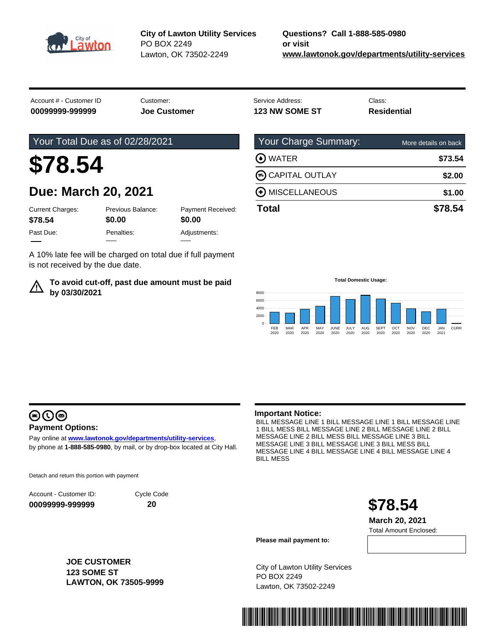

**City of Lawton Utility Services** PO BOX 2249 Lawton, OK 73502-2249

Account # - Customer ID Customer: Customer: Service Address: Class: Class: Class: **00099999-999999 Joe Customer 123 NW SOME ST Residential**

### Your Total Due as of 02/28/2021

# **\$78.54**

## **Due: March 20, 2021**

| <b>Current Charges:</b><br>\$78.54 | Previous Balance:<br>\$0.00 | Payment Received:<br>\$0.00 |
|------------------------------------|-----------------------------|-----------------------------|
| Past Due:                          | Penalties:                  | Adjustments:                |
|                                    |                             |                             |

A 10% late fee will be charged on total due if full payment is not received by the due date.

### **To avoid cut-off, past due amount must be paid by 03/30/2021**

| \$78.54              |
|----------------------|
| \$1.00               |
| \$2.00               |
| \$73.54              |
| More details on back |
|                      |

**Total Domestic Usage:**



# $\bigcirc$   $\bigcirc$   $\bigcirc$

### **Payment Options:**

Pay online at **www.lawtonok.gov/departments/utility-services**, by phone at **1-888-585-0980**, by mail, or by drop-box located at City Hall.

Detach and return this portion with payment

Account - Customer ID: **00099999-999999**

Cycle Code **20**

### **Important Notice:**

BILL MESSAGE LINE 1 BILL MESSAGE LINE 1 BILL MESSAGE LINE 1 BILL MESS BILL MESSAGE LINE 2 BILL MESSAGE LINE 2 BILL MESSAGE LINE 2 BILL MESS BILL MESSAGE LINE 3 BILL MESSAGE LINE 3 BILL MESSAGE LINE 3 BILL MESS BILL MESSAGE LINE 4 BILL MESSAGE LINE 4 BILL MESSAGE LINE 4 BILL MESS



Total Amount Enclosed: **March 20, 2021**

**Please mail payment to:**

City of Lawton Utility Services PO BOX 2249 Lawton, OK 73502-2249



<u> 1999 - Johann Barnett, fransk politik (</u>